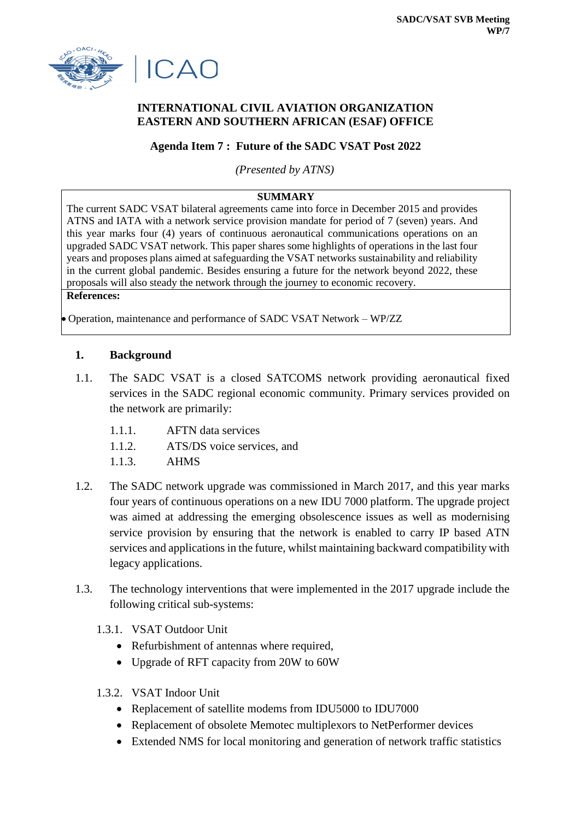

# **INTERNATIONAL CIVIL AVIATION ORGANIZATION EASTERN AND SOUTHERN AFRICAN (ESAF) OFFICE**

## **Agenda Item 7 : Future of the SADC VSAT Post 2022**

*(Presented by ATNS)*

#### **SUMMARY**

The current SADC VSAT bilateral agreements came into force in December 2015 and provides ATNS and IATA with a network service provision mandate for period of 7 (seven) years. And this year marks four (4) years of continuous aeronautical communications operations on an upgraded SADC VSAT network. This paper shares some highlights of operations in the last four years and proposes plans aimed at safeguarding the VSAT networks sustainability and reliability in the current global pandemic. Besides ensuring a future for the network beyond 2022, these proposals will also steady the network through the journey to economic recovery. **References:**

Operation, maintenance and performance of SADC VSAT Network – WP/ZZ

#### **1. Background**

- 1.1. The SADC VSAT is a closed SATCOMS network providing aeronautical fixed services in the SADC regional economic community. Primary services provided on the network are primarily:
	- 1.1.1. AFTN data services
	- 1.1.2. **ATS/DS** voice services, and
	- 1.1.3. AHMS
- 1.2. The SADC network upgrade was commissioned in March 2017, and this year marks four years of continuous operations on a new IDU 7000 platform. The upgrade project was aimed at addressing the emerging obsolescence issues as well as modernising service provision by ensuring that the network is enabled to carry IP based ATN services and applications in the future, whilst maintaining backward compatibility with legacy applications.
- 1.3. The technology interventions that were implemented in the 2017 upgrade include the following critical sub-systems:
	- 1.3.1. VSAT Outdoor Unit
		- Refurbishment of antennas where required,
		- Upgrade of RFT capacity from 20W to 60W
	- 1.3.2. VSAT Indoor Unit
		- Replacement of satellite modems from IDU5000 to IDU7000
		- Replacement of obsolete Memotec multiplexors to NetPerformer devices
		- Extended NMS for local monitoring and generation of network traffic statistics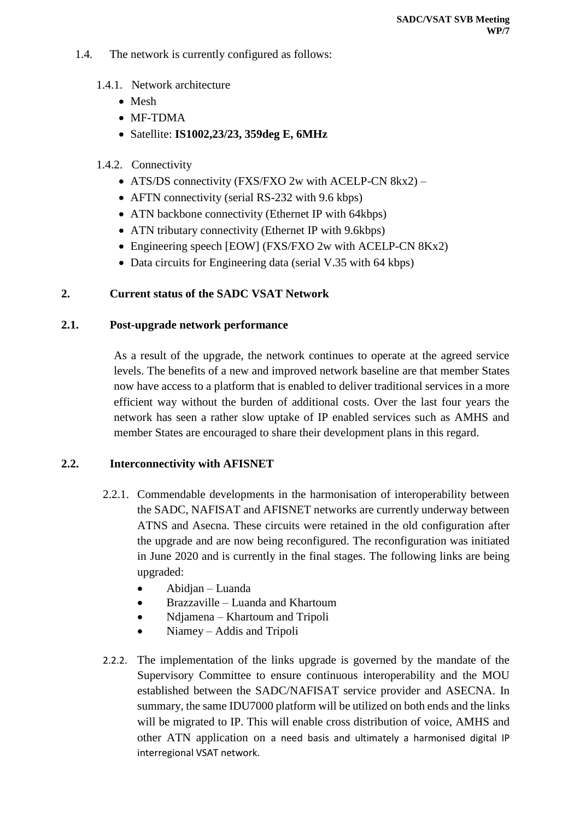- 1.4. The network is currently configured as follows:
	- 1.4.1. Network architecture
		- Mesh
		- MF-TDMA
		- Satellite: **IS1002,23/23, 359deg E, 6MHz**
	- 1.4.2. Connectivity
		- ATS/DS connectivity (FXS/FXO 2w with ACELP-CN 8kx2) –
		- AFTN connectivity (serial RS-232 with 9.6 kbps)
		- ATN backbone connectivity (Ethernet IP with 64kbps)
		- ATN tributary connectivity (Ethernet IP with 9.6kbps)
		- Engineering speech [EOW] (FXS/FXO 2w with ACELP-CN 8Kx2)
		- Data circuits for Engineering data (serial V.35 with 64 kbps)

## **2. Current status of the SADC VSAT Network**

#### **2.1. Post-upgrade network performance**

As a result of the upgrade, the network continues to operate at the agreed service levels. The benefits of a new and improved network baseline are that member States now have access to a platform that is enabled to deliver traditional services in a more efficient way without the burden of additional costs. Over the last four years the network has seen a rather slow uptake of IP enabled services such as AMHS and member States are encouraged to share their development plans in this regard.

## **2.2. Interconnectivity with AFISNET**

- 2.2.1. Commendable developments in the harmonisation of interoperability between the SADC, NAFISAT and AFISNET networks are currently underway between ATNS and Asecna. These circuits were retained in the old configuration after the upgrade and are now being reconfigured. The reconfiguration was initiated in June 2020 and is currently in the final stages. The following links are being upgraded:
	- Abidjan Luanda
	- Brazzaville Luanda and Khartoum
	- Ndjamena Khartoum and Tripoli
	- Niamey Addis and Tripoli
- 2.2.2. The implementation of the links upgrade is governed by the mandate of the Supervisory Committee to ensure continuous interoperability and the MOU established between the SADC/NAFISAT service provider and ASECNA. In summary, the same IDU7000 platform will be utilized on both ends and the links will be migrated to IP. This will enable cross distribution of voice, AMHS and other ATN application on a need basis and ultimately a harmonised digital IP interregional VSAT network.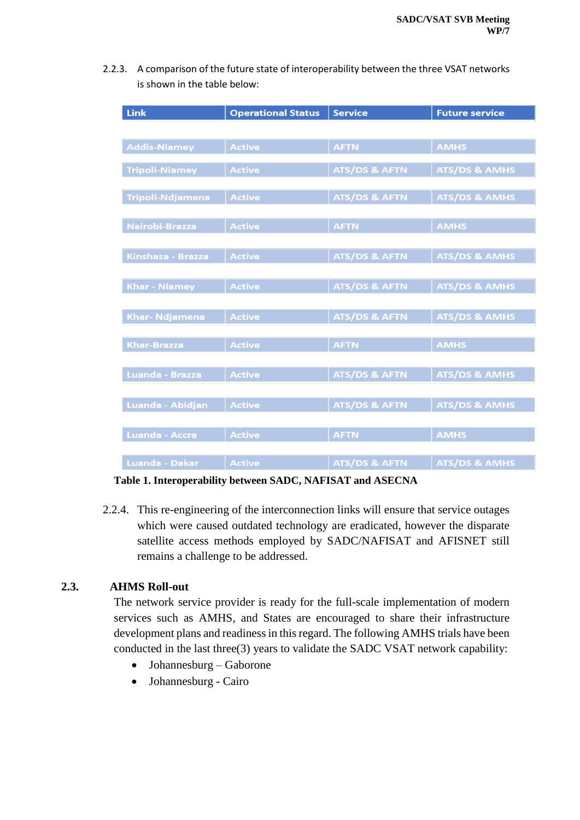2.2.3. A comparison of the future state of interoperability between the three VSAT networks is shown in the table below:

| <b>Link</b>             | <b>Operational Status</b> | <b>Service</b>           | <b>Future service</b>    |  |  |
|-------------------------|---------------------------|--------------------------|--------------------------|--|--|
|                         |                           |                          |                          |  |  |
| <b>Addis-Niamey</b>     | <b>Active</b>             | <b>AFTN</b>              | <b>AMHS</b>              |  |  |
| <b>Tripoli-Niamey</b>   | <b>Active</b>             | <b>ATS/DS &amp; AFTN</b> | <b>ATS/DS &amp; AMHS</b> |  |  |
| <b>Tripoli-Ndjamena</b> | <b>Active</b>             | <b>ATS/DS &amp; AFTN</b> | <b>ATS/DS &amp; AMHS</b> |  |  |
| Nairobi-Brazza          | <b>Active</b>             | <b>AFTN</b>              | <b>AMHS</b>              |  |  |
| Kinshasa - Brazza       | <b>Active</b>             | <b>ATS/DS &amp; AFTN</b> | <b>ATS/DS &amp; AMHS</b> |  |  |
| <b>Khar - Niamey</b>    | <b>Active</b>             | <b>ATS/DS &amp; AFTN</b> | <b>ATS/DS &amp; AMHS</b> |  |  |
| <b>Khar- Ndjamena</b>   | <b>Active</b>             | <b>ATS/DS &amp; AFTN</b> | <b>ATS/DS &amp; AMHS</b> |  |  |
|                         |                           |                          |                          |  |  |
| <b>Khar-Brazza</b>      | <b>Active</b>             | <b>AFTN</b>              | <b>AMHS</b>              |  |  |
| <b>Luanda - Brazza</b>  | <b>Active</b>             | <b>ATS/DS &amp; AFTN</b> | <b>ATS/DS &amp; AMHS</b> |  |  |
| Luanda - Abidjan        | <b>Active</b>             | <b>ATS/DS &amp; AFTN</b> | <b>ATS/DS &amp; AMHS</b> |  |  |
| <b>Luanda - Accra</b>   | <b>Active</b>             | <b>AFTN</b>              | <b>AMHS</b>              |  |  |
| Luanda - Dakar          | <b>Active</b>             | <b>ATS/DS &amp; AFTN</b> | <b>ATS/DS &amp; AMHS</b> |  |  |

**Table 1. Interoperability between SADC, NAFISAT and ASECNA**

2.2.4. This re-engineering of the interconnection links will ensure that service outages which were caused outdated technology are eradicated, however the disparate satellite access methods employed by SADC/NAFISAT and AFISNET still remains a challenge to be addressed.

## **2.3. AHMS Roll-out**

The network service provider is ready for the full-scale implementation of modern services such as AMHS, and States are encouraged to share their infrastructure development plans and readiness in this regard. The following AMHS trials have been conducted in the last three(3) years to validate the SADC VSAT network capability:

- Johannesburg Gaborone
- Johannesburg Cairo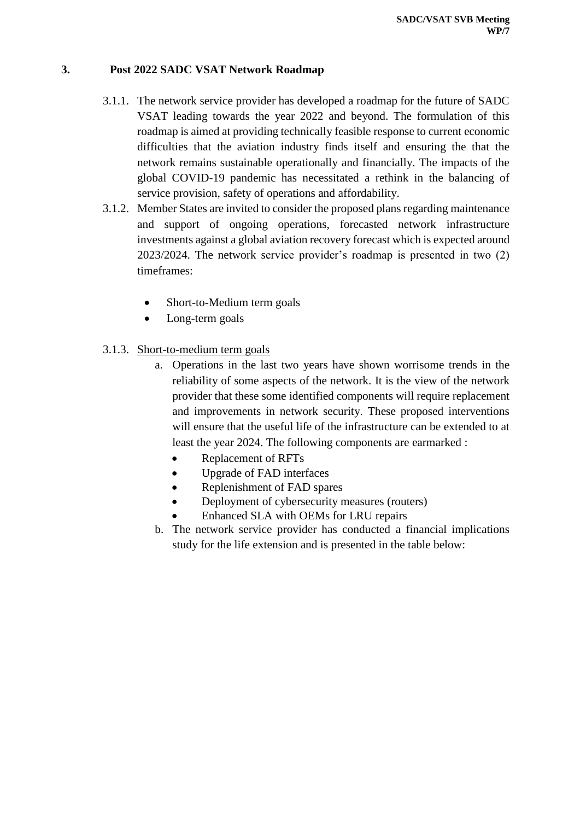## **3. Post 2022 SADC VSAT Network Roadmap**

- 3.1.1. The network service provider has developed a roadmap for the future of SADC VSAT leading towards the year 2022 and beyond. The formulation of this roadmap is aimed at providing technically feasible response to current economic difficulties that the aviation industry finds itself and ensuring the that the network remains sustainable operationally and financially. The impacts of the global COVID-19 pandemic has necessitated a rethink in the balancing of service provision, safety of operations and affordability.
- 3.1.2. Member States are invited to consider the proposed plans regarding maintenance and support of ongoing operations, forecasted network infrastructure investments against a global aviation recovery forecast which is expected around 2023/2024. The network service provider's roadmap is presented in two (2) timeframes:
	- Short-to-Medium term goals
	- Long-term goals
- 3.1.3. Short-to-medium term goals
	- a. Operations in the last two years have shown worrisome trends in the reliability of some aspects of the network. It is the view of the network provider that these some identified components will require replacement and improvements in network security. These proposed interventions will ensure that the useful life of the infrastructure can be extended to at least the year 2024. The following components are earmarked :
		- Replacement of RFTs
		- Upgrade of FAD interfaces
		- Replenishment of FAD spares
		- Deployment of cybersecurity measures (routers)
		- Enhanced SLA with OEMs for LRU repairs
	- b. The network service provider has conducted a financial implications study for the life extension and is presented in the table below: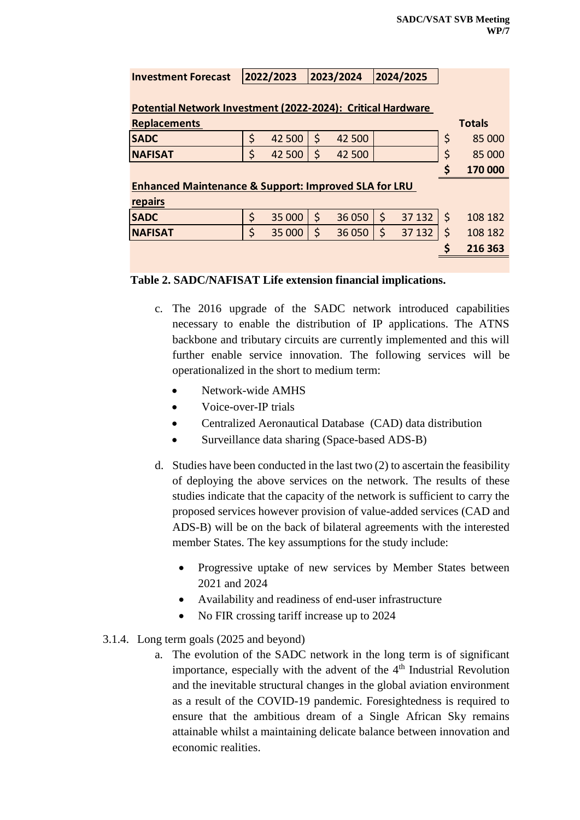| <b>Investment Forecast</b>                                      |         | 2022/2023 |         | 2023/2024 |         | 2024/2025 |         |               |  |
|-----------------------------------------------------------------|---------|-----------|---------|-----------|---------|-----------|---------|---------------|--|
|                                                                 |         |           |         |           |         |           |         |               |  |
| Potential Network Investment (2022-2024): Critical Hardware     |         |           |         |           |         |           |         |               |  |
| <b>Replacements</b>                                             |         |           |         |           |         |           |         | <b>Totals</b> |  |
| <b>SADC</b>                                                     | \$      | 42 500    | \$      | 42 500    |         |           | \$      | 85 000        |  |
| <b>NAFISAT</b>                                                  | Ś       | 42 500    | Ś       | 42 500    |         |           | \$      | 85 000        |  |
|                                                                 |         |           |         |           |         |           | S       | 170 000       |  |
| <b>Enhanced Maintenance &amp; Support: Improved SLA for LRU</b> |         |           |         |           |         |           |         |               |  |
| repairs                                                         |         |           |         |           |         |           |         |               |  |
| <b>SADC</b>                                                     | $\zeta$ | 35 000    | $\zeta$ | 36 050    | $\zeta$ | 37 132    | $\zeta$ | 108 182       |  |
| <b>NAFISAT</b>                                                  | Ś       | 35 000    | Ś       | 36 050    | \$      | 37 132    | \$      | 108 182       |  |
|                                                                 |         |           |         |           |         |           |         | 216 363       |  |
|                                                                 |         |           |         |           |         |           |         |               |  |

#### **Table 2. SADC/NAFISAT Life extension financial implications.**

- c. The 2016 upgrade of the SADC network introduced capabilities necessary to enable the distribution of IP applications. The ATNS backbone and tributary circuits are currently implemented and this will further enable service innovation. The following services will be operationalized in the short to medium term:
	- Network-wide AMHS
	- Voice-over-IP trials
	- Centralized Aeronautical Database (CAD) data distribution
	- Surveillance data sharing (Space-based ADS-B)
- d. Studies have been conducted in the last two (2) to ascertain the feasibility of deploying the above services on the network. The results of these studies indicate that the capacity of the network is sufficient to carry the proposed services however provision of value-added services (CAD and ADS-B) will be on the back of bilateral agreements with the interested member States. The key assumptions for the study include:
	- Progressive uptake of new services by Member States between 2021 and 2024
	- Availability and readiness of end-user infrastructure
	- No FIR crossing tariff increase up to 2024
- 3.1.4. Long term goals (2025 and beyond)
	- a. The evolution of the SADC network in the long term is of significant importance, especially with the advent of the  $4<sup>th</sup>$  Industrial Revolution and the inevitable structural changes in the global aviation environment as a result of the COVID-19 pandemic. Foresightedness is required to ensure that the ambitious dream of a Single African Sky remains attainable whilst a maintaining delicate balance between innovation and economic realities.